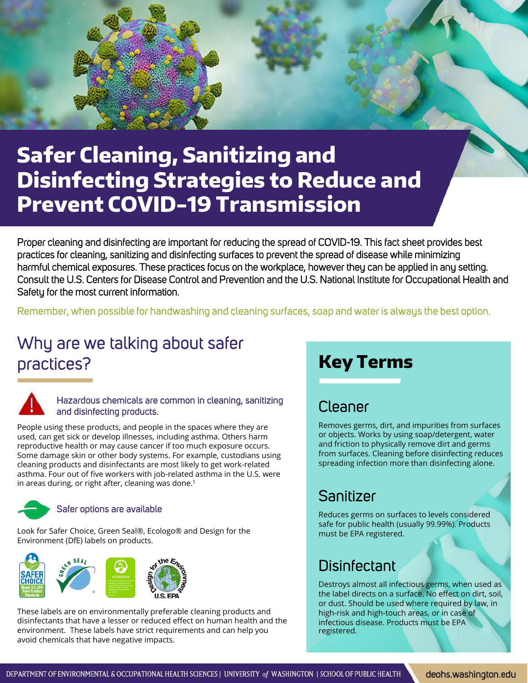

# **Safer Cleaning, Sanitizing and Disinfecting Strategies to Reduce and Prevent COVID-19 Transmission**

Proper cleaning and disinfecting are important for reducing the spread of COVID-19. This fact sheet provides best practices for cleaning, sanitizing and disinfecting surfaces to prevent the spread of disease while minimizing harmful chemical exposures. These practices focus on the workplace, however they can be applied in any setting. Consult the U.S. Centers for Disease Control and Prevention and the U.S. National Institute for Occupational Health and Safety for the most current information.

Remember, when possible for handwashing and cleaning surfaces, soap and water is always the best option.

## Why are we talking about safer practices?



#### Hazardous chemicals are common in cleaning, sanitizing and disinfecting products.

People using these products, and people in the spaces where they are used, can get sick or develop illnesses, including asthma. Others harm reproductive health or may cause cancer if too much exposure occurs. Some damage skin or other body systems. For example, custodians using cleaning products and disinfectants are most likely to get work-related asthma. Four out of five workers with job-related asthma in the U.S. were in areas during, or right after, cleaning was done.<sup>1</sup>



#### Safer options are available

Look for Safer Choice, Green Seal®, Ecologo® and Design for the Environment (DfE) labels on products.



These labels are on environmentally preferable cleaning products and disinfectants that have a lesser or reduced effect on human health and the environment. These labels have strict requirements and can help you avoid chemicals that have negative impacts.

## **Key Terms**

### Cleaner

Removes germs, dirt, and impurities from surfaces or objects. Works by using soap/detergent, water and friction to physically remove dirt and germs from surfaces. Cleaning before disinfecting reduces spreading infection more than disinfecting alone.

### Sanitizer

Reduces germs on surfaces to levels considered safe for public health (usually 99.99%). Products must be EPA registered.

### **Disinfectant**

Destroys almost all infectious germs, when used as the label directs on a surface. No effect on dirt, soil, or dust. Should be used where required by law, in high-risk and high-touch areas, or in case of infectious disease. Products must be EPA registered.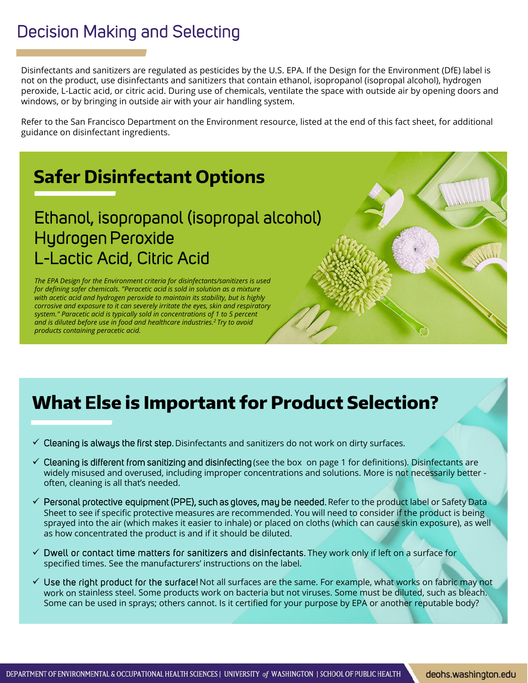## Decision Making and Selecting

Disinfectants and sanitizers are regulated as pesticides by the U.S. EPA. If the Design for the Environment (DfE) label is not on the product, use disinfectants and sanitizers that contain ethanol, isopropanol (isopropal alcohol), hydrogen peroxide, L-Lactic acid, or citric acid. During use of chemicals, ventilate the space with outside air by opening doors and windows, or by bringing in outside air with your air handling system.

Refer to the San Francisco Department on the Environment resource, listed at the end of this fact sheet, for additional guidance on disinfectant ingredients.

# **Safer Disinfectant Options**

## Ethanol, isopropanol (isopropal alcohol) Hydrogen Peroxide L-Lactic Acid, Citric Acid

*The EPA Design for the Environment criteria for disinfectants/sanitizers is used for defining safer chemicals. "Peracetic acid is sold in solution as a mixture with acetic acid and hydrogen peroxide to maintain its stability, but is highly corrosive and exposure to it can severely irritate the eyes, skin and respiratory system." Paracetic acid is typically sold in concentrations of 1 to 5 percent and is diluted before use in food and healthcare industries.<sup>2</sup>Try to avoid products containing peracetic acid.*

## **What Else is Important for Product Selection?**

- $\checkmark$  Cleaning is always the first step. Disinfectants and sanitizers do not work on dirty surfaces.
- $\checkmark$  Cleaning is different from sanitizing and disinfecting (see the box on page 1 for definitions). Disinfectants are widely misused and overused, including improper concentrations and solutions. More is not necessarily better often, cleaning is all that's needed.
- $\checkmark$  Personal protective equipment (PPE), such as gloves, may be needed. Refer to the product label or Safety Data Sheet to see if specific protective measures are recommended. You will need to consider if the product is being sprayed into the air (which makes it easier to inhale) or placed on cloths (which can cause skin exposure), as well as how concentrated the product is and if it should be diluted.
- $\checkmark$  Dwell or contact time matters for sanitizers and disinfectants. They work only if left on a surface for specified times. See the manufacturers' instructions on the label.
- $\checkmark$  Use the right product for the surface! Not all surfaces are the same. For example, what works on fabric may not work on stainless steel. Some products work on bacteria but not viruses. Some must be diluted, such as bleach. Some can be used in sprays; others cannot. Is it certified for your purpose by EPA or another reputable body?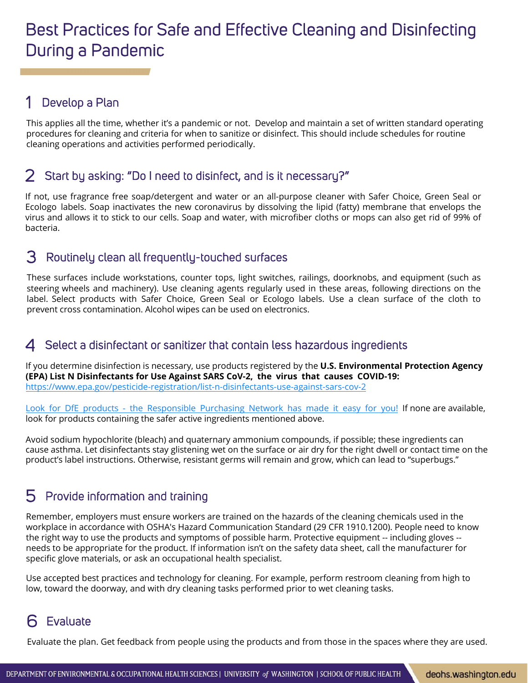## Best Practices for Safe and Effective Cleaning and Disinfecting During a Pandemic

#### Develop a Plan 1

This applies all the time, whether it's a pandemic or not. Develop and maintain a set of written standard operating procedures for cleaning and criteria for when to sanitize or disinfect. This should include schedules for routine cleaning operations and activities performed periodically.

#### Start by asking: "Do I need to disinfect, and is it necessary?" 2

If not, use fragrance free soap/detergent and water or an all-purpose cleaner with Safer Choice, Green Seal or Ecologo labels. Soap inactivates the new coronavirus by dissolving the lipid (fatty) membrane that envelops the virus and allows it to stick to our cells. Soap and water, with microfiber cloths or mops can also get rid of 99% of bacteria.

#### Routinely clean all frequently-touched surfaces 3

These surfaces include workstations, counter tops, light switches, railings, doorknobs, and equipment (such as steering wheels and machinery). Use cleaning agents regularly used in these areas, following directions on the label. Select products with Safer Choice, Green Seal or Ecologo labels. Use a clean surface of the cloth to prevent cross contamination. Alcohol wipes can be used on electronics.

#### Select a disinfectant or sanitizer that contain less hazardous ingredients 4

If you determine disinfection is necessary, use products registered by the **U.S. Environmental Protection Agency (EPA) List N Disinfectants for Use Against SARS CoV-2, the virus that causes COVID-19:** <https://www.epa.gov/pesticide-registration/list-n-disinfectants-use-against-sars-cov-2>

Look for DfE products - the [Responsible](https://osha.washington.edu/sites/default/files/documents/Updated%20Safer%20Disinfectants%20List_March%2026%2C%202020.pdf) Purchasing Network has made it easy for you! If none are available, look for products containing the safer active ingredients mentioned above.

Avoid sodium hypochlorite (bleach) and quaternary ammonium compounds, if possible; these ingredients can cause asthma. Let disinfectants stay glistening wet on the surface or air dry for the right dwell or contact time on the product's label instructions. Otherwise, resistant germs will remain and grow, which can lead to "superbugs."

#### Provide information and training 5

Remember, employers must ensure workers are trained on the hazards of the cleaning chemicals used in the workplace in accordance with OSHA's Hazard Communication Standard (29 CFR 1910.1200). People need to know the right way to use the products and symptoms of possible harm. Protective equipment -- including gloves - needs to be appropriate for the product. If information isn't on the safety data sheet, call the manufacturer for specific glove materials, or ask an occupational health specialist.

Use accepted best practices and technology for cleaning. For example, perform restroom cleaning from high to low, toward the doorway, and with dry cleaning tasks performed prior to wet cleaning tasks.

### Evaluate 6

Evaluate the plan. Get feedback from people using the products and from those in the spaces where they are used.